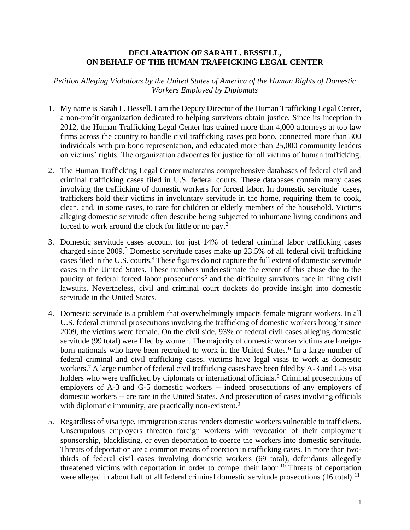## **DECLARATION OF SARAH L. BESSELL, ON BEHALF OF THE HUMAN TRAFFICKING LEGAL CENTER**

*Petition Alleging Violations by the United States of America of the Human Rights of Domestic Workers Employed by Diplomats*

- 1. My name is Sarah L. Bessell. I am the Deputy Director of the Human Trafficking Legal Center, a non-profit organization dedicated to helping survivors obtain justice. Since its inception in 2012, the Human Trafficking Legal Center has trained more than 4,000 attorneys at top law firms across the country to handle civil trafficking cases pro bono, connected more than 300 individuals with pro bono representation, and educated more than 25,000 community leaders on victims' rights. The organization advocates for justice for all victims of human trafficking.
- 2. The Human Trafficking Legal Center maintains comprehensive databases of federal civil and criminal trafficking cases filed in U.S. federal courts. These databases contain many cases involving the trafficking of domestic workers for forced labor. In domestic servitude<sup>1</sup> cases, traffickers hold their victims in involuntary servitude in the home, requiring them to cook, clean, and, in some cases, to care for children or elderly members of the household. Victims alleging domestic servitude often describe being subjected to inhumane living conditions and forced to work around the clock for little or no pay.<sup>2</sup>
- 3. Domestic servitude cases account for just 14% of federal criminal labor trafficking cases charged since 2009.<sup>3</sup> Domestic servitude cases make up 23.5% of all federal civil trafficking cases filed in the U.S. courts.<sup>4</sup> These figures do not capture the full extent of domestic servitude cases in the United States. These numbers underestimate the extent of this abuse due to the paucity of federal forced labor prosecutions<sup>5</sup> and the difficulty survivors face in filing civil lawsuits. Nevertheless, civil and criminal court dockets do provide insight into domestic servitude in the United States.
- 4. Domestic servitude is a problem that overwhelmingly impacts female migrant workers. In all U.S. federal criminal prosecutions involving the trafficking of domestic workers brought since 2009, the victims were female. On the civil side, 93% of federal civil cases alleging domestic servitude (99 total) were filed by women. The majority of domestic worker victims are foreignborn nationals who have been recruited to work in the United States.<sup>6</sup> In a large number of federal criminal and civil trafficking cases, victims have legal visas to work as domestic workers.<sup>7</sup> A large number of federal civil trafficking cases have been filed by A-3 and G-5 visa holders who were trafficked by diplomats or international officials.<sup>8</sup> Criminal prosecutions of employers of A-3 and G-5 domestic workers -- indeed prosecutions of any employers of domestic workers -- are rare in the United States. And prosecution of cases involving officials with diplomatic immunity, are practically non-existent.<sup>9</sup>
- 5. Regardless of visa type, immigration status renders domestic workers vulnerable to traffickers. Unscrupulous employers threaten foreign workers with revocation of their employment sponsorship, blacklisting, or even deportation to coerce the workers into domestic servitude. Threats of deportation are a common means of coercion in trafficking cases. In more than twothirds of federal civil cases involving domestic workers (69 total), defendants allegedly threatened victims with deportation in order to compel their labor.<sup>10</sup> Threats of deportation were alleged in about half of all federal criminal domestic servitude prosecutions (16 total).<sup>11</sup>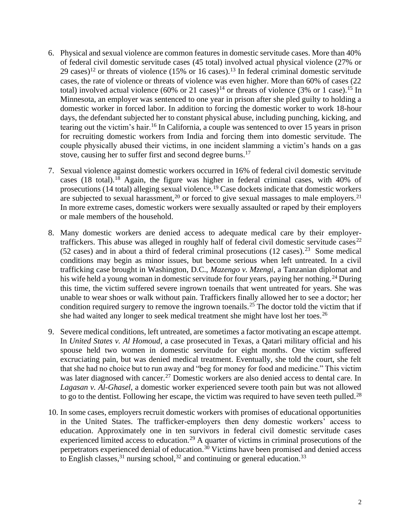- 6. Physical and sexual violence are common features in domestic servitude cases. More than 40% of federal civil domestic servitude cases (45 total) involved actual physical violence (27% or 29 cases)<sup>12</sup> or threats of violence (15% or 16 cases).<sup>13</sup> In federal criminal domestic servitude cases, the rate of violence or threats of violence was even higher. More than 60% of cases (22 total) involved actual violence (60% or 21 cases)<sup>14</sup> or threats of violence (3% or 1 case).<sup>15</sup> In Minnesota, an employer was sentenced to one year in prison after she pled guilty to holding a domestic worker in forced labor. In addition to forcing the domestic worker to work 18-hour days, the defendant subjected her to constant physical abuse, including punching, kicking, and tearing out the victim's hair.<sup>16</sup> In California, a couple was sentenced to over 15 years in prison for recruiting domestic workers from India and forcing them into domestic servitude. The couple physically abused their victims, in one incident slamming a victim's hands on a gas stove, causing her to suffer first and second degree burns.<sup>17</sup>
- 7. Sexual violence against domestic workers occurred in 16% of federal civil domestic servitude cases (18 total).<sup>18</sup> Again, the figure was higher in federal criminal cases, with  $40\%$  of prosecutions (14 total) alleging sexual violence.<sup>19</sup> Case dockets indicate that domestic workers are subjected to sexual harassment,<sup>20</sup> or forced to give sexual massages to male employers.<sup>21</sup> In more extreme cases, domestic workers were sexually assaulted or raped by their employers or male members of the household.
- 8. Many domestic workers are denied access to adequate medical care by their employertraffickers. This abuse was alleged in roughly half of federal civil domestic servitude cases<sup>22</sup>  $(52 \text{ cases})$  and in about a third of federal criminal prosecutions  $(12 \text{ cases})$ .<sup>23</sup> Some medical conditions may begin as minor issues, but become serious when left untreated. In a civil trafficking case brought in Washington, D.C., *Mazengo v. Mzengi*, a Tanzanian diplomat and his wife held a young woman in domestic servitude for four years, paying her nothing.<sup>24</sup> During this time, the victim suffered severe ingrown toenails that went untreated for years. She was unable to wear shoes or walk without pain. Traffickers finally allowed her to see a doctor; her condition required surgery to remove the ingrown toenails.<sup>25</sup> The doctor told the victim that if she had waited any longer to seek medical treatment she might have lost her toes.<sup>26</sup>
- 9. Severe medical conditions, left untreated, are sometimes a factor motivating an escape attempt. In *United States v. Al Homoud*, a case prosecuted in Texas, a Qatari military official and his spouse held two women in domestic servitude for eight months. One victim suffered excruciating pain, but was denied medical treatment. Eventually, she told the court, she felt that she had no choice but to run away and "beg for money for food and medicine." This victim was later diagnosed with cancer.<sup>27</sup> Domestic workers are also denied access to dental care. In *Lagasan v. Al-Ghasel*, a domestic worker experienced severe tooth pain but was not allowed to go to the dentist. Following her escape, the victim was required to have seven teeth pulled.<sup>28</sup>
- 10. In some cases, employers recruit domestic workers with promises of educational opportunities in the United States. The trafficker-employers then deny domestic workers' access to education. Approximately one in ten survivors in federal civil domestic servitude cases experienced limited access to education.<sup>29</sup> A quarter of victims in criminal prosecutions of the perpetrators experienced denial of education.<sup>30</sup> Victims have been promised and denied access to English classes,  $31$  nursing school,  $32$  and continuing or general education.  $33$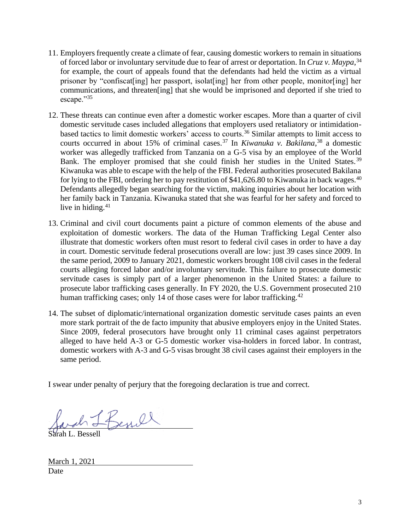- 11. Employers frequently create a climate of fear, causing domestic workers to remain in situations of forced labor or involuntary servitude due to fear of arrest or deportation. In *Cruz v. Maypa*, 34 for example, the court of appeals found that the defendants had held the victim as a virtual prisoner by "confiscat[ing] her passport, isolat[ing] her from other people, monitor[ing] her communications, and threaten[ing] that she would be imprisoned and deported if she tried to escape."35
- 12. These threats can continue even after a domestic worker escapes. More than a quarter of civil domestic servitude cases included allegations that employers used retaliatory or intimidationbased tactics to limit domestic workers' access to courts.<sup>36</sup> Similar attempts to limit access to courts occurred in about 15% of criminal cases.<sup>37</sup> In *Kiwanuka v. Bakilana*, <sup>38</sup> a domestic worker was allegedly trafficked from Tanzania on a G-5 visa by an employee of the World Bank. The employer promised that she could finish her studies in the United States.<sup>39</sup> Kiwanuka was able to escape with the help of the FBI. Federal authorities prosecuted Bakilana for lying to the FBI, ordering her to pay restitution of \$41,626.80 to Kiwanuka in back wages.<sup>40</sup> Defendants allegedly began searching for the victim, making inquiries about her location with her family back in Tanzania. Kiwanuka stated that she was fearful for her safety and forced to live in hiding. $41$
- 13. Criminal and civil court documents paint a picture of common elements of the abuse and exploitation of domestic workers. The data of the Human Trafficking Legal Center also illustrate that domestic workers often must resort to federal civil cases in order to have a day in court. Domestic servitude federal prosecutions overall are low: just 39 cases since 2009. In the same period, 2009 to January 2021, domestic workers brought 108 civil cases in the federal courts alleging forced labor and/or involuntary servitude. This failure to prosecute domestic servitude cases is simply part of a larger phenomenon in the United States: a failure to prosecute labor trafficking cases generally. In FY 2020, the U.S. Government prosecuted 210 human trafficking cases; only 14 of those cases were for labor trafficking.<sup>42</sup>
- 14. The subset of diplomatic/international organization domestic servitude cases paints an even more stark portrait of the de facto impunity that abusive employers enjoy in the United States. Since 2009, federal prosecutors have brought only 11 criminal cases against perpetrators alleged to have held A-3 or G-5 domestic worker visa-holders in forced labor. In contrast, domestic workers with A-3 and G-5 visas brought 38 civil cases against their employers in the same period.

I swear under penalty of perjury that the foregoing declaration is true and correct.

Sarah L. Bessell

March 1, 2021 Date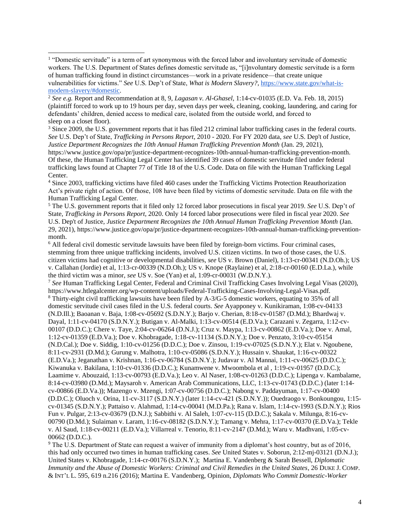<sup>3</sup> Since 2009, the U.S. government reports that it has filed 212 criminal labor trafficking cases in the federal courts. *See* U.S. Dep't of State, *Trafficking in Persons Report*, 2010 - 2020. For FY 2020 data, *see* U.S. Dep't of Justice, *Justice Department Recognizes the 10th Annual Human Trafficking Prevention Month* (Jan. 29, 2021),

https://www.justice.gov/opa/pr/justice-department-recognizes-10th-annual-human-trafficking-prevention-month. Of these, the Human Trafficking Legal Center has identified 39 cases of domestic servitude filed under federal trafficking laws found at Chapter 77 of Title 18 of the U.S. Code. Data on file with the Human Trafficking Legal Center.

<sup>4</sup> Since 2003, trafficking victims have filed 460 cases under the Trafficking Victims Protection Reauthorization Act's private right of action. Of those, 108 have been filed by victims of domestic servitude. Data on file with the Human Trafficking Legal Center.

<sup>5</sup> The U.S. government reports that it filed only 12 forced labor prosecutions in fiscal year 2019. *See* U.S. Dep't of State, *Trafficking in Persons Report*, 2020. Only 14 forced labor prosecutions were filed in fiscal year 2020. *See* U.S. Dep't of Justice, *Justice Department Recognizes the 10th Annual Human Trafficking Prevention Month* (Jan. 29, 2021), https://www.justice.gov/opa/pr/justice-department-recognizes-10th-annual-human-trafficking-preventionmonth.

<sup>6</sup> All federal civil domestic servitude lawsuits have been filed by foreign-born victims. Four criminal cases, stemming from three unique trafficking incidents, involved U.S. citizen victims. In two of those cases, the U.S. citizen victims had cognitive or developmental disabilities, *see* US v. Brown (Daniel), 1:13-cr-00341 (N.D.Oh.); US v. Callahan (Jordie) et al, 1:13-cr-00339 (N.D.Oh.); US v. Knope (Raylaine) et al, 2:18-cr-00160 (E.D.La.), while the third victim was a minor, *see* US v. Soe (Yan) et al, 1:09-cr-00031 (W.D.N.Y.).

<sup>7</sup> *See* Human Trafficking Legal Center, Federal and Criminal Civil Trafficking Cases Involving Legal Visas (2020), https://www.htlegalcenter.org/wp-content/uploads/Federal-Trafficking-Cases-Involving-Legal-Visas.pdf. <sup>8</sup> Thirty-eight civil trafficking lawsuits have been filed by A-3/G-5 domestic workers, equating to 35% of all domestic servitude civil cases filed in the U.S. federal courts. *See* Ayapponey v. Kunikiraman, 1:08-cv-04133 (N.D.Ill.); Baoanan v. Baja, 1:08-cv-05692 (S.D.N.Y.); Barjo v. Cherian, 8:18-cv-01587 (D.Md.); Bhardwaj v. Dayal, 1:11-cv-04170 (S.D.N.Y.); Butigan v. Al-Malki, 1:13-cv-00514 (E.D.Va.); Carazani v. Zegarra, 1:12-cv-00107 (D.D.C.); Chere v. Taye, 2:04-cv-06264 (D.N.J.); Cruz v. Maypa, 1:13-cv-00862 (E.D.Va.); Doe v. Amal, 1:12-cv-01359 (E.D.Va.); Doe v. Khobragade, 1:18-cv-11134 (S.D.N.Y.); Doe v. Penzato, 3:10-cv-05154 (N.D.Cal.); Doe v. Siddig, 1:10-cv-01256 (D.D.C.); Doe v. Zinsou, 1:19-cv-07025 (S.D.N.Y.); Elat v. Ngoubene, 8:11-cv-2931 (D.Md.); Gurung v. Malhotra, 1:10-cv-05086 (S.D.N.Y.); Hussain v. Shaukat, 1:16-cv-00322 (E.D.Va.); Jeganathan v. Krishnan, 1:16-cv-06784 (S.D.N.Y.); Judavar v. Al Mannai, 1:11-cv-00625 (D.D.C.); Kiwanuka v. Bakilana, 1:10-cv-01336 (D.D.C.); Kunamwene v. Mwoombola et al , 1:19-cv-01957 (D.D.C.); Laamime v. Abouzaid, 1:13-cv-00793 (E.D.Va.); Leo v. Al Naser, 1:08-cv-01263 (D.D.C.); Lipenga v. Kambalame, 8:14-cv-03980 (D.Md.); Maysaroh v. American Arab Communications, LLC, 1:13-cv-01743 (D.D.C.) (later 1:14 cv-00866 (E.D.Va.)); Mazengo v. Mzengi, 1:07-cv-00756 (D.D.C.); Nabong v. Paddayuman, 1:17-cv-00400 (D.D.C.); Oluoch v. Orina, 11-cv-3117 (S.D.N.Y.) (later 1:14-cv-421 (S.D.N.Y.)); Ouedraogo v. Bonkoungou, 1:15 cv-01345 (S.D.N.Y.); Pattaiso v. Alahmad, 1:14-cv-00041 (M.D.Pa.); Rana v. Islam, 1:14-cv-1993 (S.D.N.Y.); Rios Fun v. Pulgar, 2:13-cv-03679 (D.N.J.); Sabbithi v. Al Saleh, 1:07-cv-115 (D.D.C.); Sakala v. Milunga, 8:16-cv-00790 (D.Md.); Sulaiman v. Laram, 1:16-cv-08182 (S.D.N.Y.); Tamang v. Mehra, 1:17-cv-00370 (E.D.Va.); Tekle v. Al Saud, 1:18-cv-00211 (E.D.Va.); Villarreal v. Tenorio, 8:11-cv-2147 (D.Md.); Waru v. Madhvani, 1:05-cv-00662 (D.D.C.).

<sup>9</sup> The U.S. Department of State can request a waiver of immunity from a diplomat's host country, but as of 2016, this had only occurred two times in human trafficking cases. *See* United States v. Soborun, 2:12-mj-03121 (D.N.J.); United States v. Khobragade, 1:14-cr-00176 (S.D.N.Y.); Martina E. Vandenberg & Sarah Bessell, *Diplomatic Immunity and the Abuse of Domestic Workers: Criminal and Civil Remedies in the United States*, 26 DUKE J. COMP. & INT'L L. 595, 619 n.216 (2016); Martina E. Vandenberg, Opinion, *Diplomats Who Commit Domestic-Worker* 

<sup>&</sup>lt;sup>1</sup> "Domestic servitude" is a term of art synonymous with the forced labor and involuntary servitude of domestic workers. The U.S. Department of States defines domestic servitude as, "[i]nvoluntary domestic servitude is a form of human trafficking found in distinct circumstances—work in a private residence—that create unique vulnerabilities for victims." *See* U.S. Dep't of State, *What is Modern Slavery?*[, https://www.state.gov/what-is](https://www.state.gov/what-is-modern-slavery/#domestic)[modern-slavery/#domestic.](https://www.state.gov/what-is-modern-slavery/#domestic)

<sup>2</sup> *See e.g.* Report and Recommendation at 8, 9, *Lagasan v. Al-Ghasel*, 1:14-cv-01035 (E.D. Va. Feb. 18, 2015) (plaintiff forced to work up to 19 hours per day, seven days per week, cleaning, cooking, laundering, and caring for defendants' children, denied access to medical care, isolated from the outside world, and forced to sleep on a closet floor).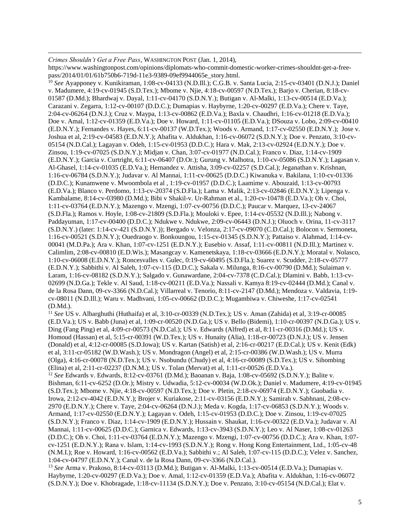*Crimes Shouldn't Get a Free Pass*, WASHINGTON POST (Jan. 1, 2014), https://www.washingtonpost.com/opinions/diplomats-who-commit-domestic-worker-crimes-shouldnt-get-a-freepass/2014/01/01/61b750b6-719d-11e3-9389-09ef9944065e\_story.html.

<sup>10</sup> *See* Ayapponey v. Kunikiraman, 1:08-cv-04133 (N.D.Ill.); C.G.B. v. Santa Lucia, 2:15-cv-03401 (D.N.J.); Daniel v. Madumere, 4:19-cv-01945 (S.D.Tex.); Mbome v. Njie, 4:18-cv-00597 (N.D.Tex.); Barjo v. Cherian, 8:18-cv-01587 (D.Md.); Bhardwaj v. Dayal, 1:11-cv-04170 (S.D.N.Y.); Butigan v. Al-Malki, 1:13-cv-00514 (E.D.Va.); Carazani v. Zegarra, 1:12-cv-00107 (D.D.C.); Dumapias v. Haybyrne, 1:20-cv-00297 (E.D.Va.); Chere v. Taye, 2:04-cv-06264 (D.N.J.); Cruz v. Maypa, 1:13-cv-00862 (E.D.Va.); Baxla v. Chaudhri, 1:16-cv-01218 (E.D.Va.); Doe v. Amal, 1:12-cv-01359 (E.D.Va.); Doe v. Howard, 1:11-cv-01105 (E.D.Va.); DSouza v. Lobo, 2:09-cv-00410 (E.D.N.Y.); Fernandes v. Hayes, 6:11-cv-00137 (W.D.Tex.); Woods v. Armand, 1:17-cv-02550 (E.D.N.Y.); Jose v. Joshua et al, 2:19-cv-04583 (E.D.N.Y.); Abafita v. Aldukhan, 1:16-cv-06072 (S.D.N.Y.); Doe v. Penzato, 3:10-cv-05154 (N.D.Cal.); Lagayan v. Odeh, 1:15-cv-01953 (D.D.C.); Hara v. Mak, 2:13-cv-02924 (E.D.N.Y.); Doe v. Zinsou, 1:19-cv-07025 (S.D.N.Y.); Midjan v. Chan, 3:07-cv-01977 (N.D.Cal.); Franco v. Diaz, 1:14-cv-1909 (E.D.N.Y.); Garcia v. Curtright, 6:11-cv-06407 (D.Or.); Gurung v. Malhotra, 1:10-cv-05086 (S.D.N.Y.); Lagasan v. Al-Ghasel, 1:14-cv-01035 (E.D.Va.); Hernandez v. Attisha, 3:09-cv-02257 (S.D.Cal.); Jeganathan v. Krishnan, 1:16-cv-06784 (S.D.N.Y.); Judavar v. Al Mannai, 1:11-cv-00625 (D.D.C.) Kiwanuka v. Bakilana, 1:10-cv-01336 (D.D.C.); Kunamwene v. Mwoombola et al , 1:19-cv-01957 (D.D.C.); Laamime v. Abouzaid, 1:13-cv-00793 (E.D.Va.); Blanco v. Perdomo, 1:13-cv-20374 (S.D.Fla.); Lama v. Malik, 2:13-cv-02846 (E.D.N.Y.); Lipenga v. Kambalame, 8:14-cv-03980 (D.Md.); Bibi v Shakil-v. Ur-Rahman et al., 1:20-cv-10478 (E.D.Va.); Oh v. Choi, 1:11-cv-03764 (E.D.N.Y.); Mazengo v. Mzengi, 1:07-cv-00756 (D.D.C.); Paucar v. Marquez, 13-cv-24067 (S.D.Fla.); Ramos v. Hoyle, 1:08-cv-21809 (S.D.Fla.); Mouloki v. Epee, 1:14-cv-05532 (N.D.Ill.); Nabong v. Paddayuman, 1:17-cv-00400 (D.D.C.); Ndukwe v. Ndukwe, 2:09-cv-06443 (D.N.J.); Oluoch v. Orina, 11-cv-3117 (S.D.N.Y.) (later: 1:14-cv-421 (S.D.N.Y.)); Bergado v. Velonza, 2:17-cv-09070 (C.D.Cal.); Bolocon v. Sermoneta, 1:16-cv-00521 (S.D.N.Y.); Ouedraogo v. Bonkoungou, 1:15-cv-01345 (S.D.N.Y.); Pattaiso v. Alahmad, 1:14-cv-00041 (M.D.Pa.); Ara v. Khan, 1:07-cv-1251 (E.D.N.Y.); Eusebio v. Assaf, 1:11-cv-00811 (N.D.Ill.); Martinez v. Calimlim, 2:08-cv-00810 (E.D.Wis.); Masangcay v. Kamenetskaya, 1:18-cv-03666 (E.D.N.Y.); Moratal v. Nolasco, 1:10-cv-06008 (E.D.N.Y.); Roncesvalles v. Gulec, 0:19-cv-60495 (S.D.Fla.); Suarez v. Scudder, 2:18-cv-05777 (E.D.N.Y.); Sabbithi v. Al Saleh, 1:07-cv-115 (D.D.C.); Sakala v. Milunga, 8:16-cv-00790 (D.Md.); Sulaiman v. Laram, 1:16-cv-08182 (S.D.N.Y.); Salgado v. Gunawardane, 2:04-cv-7378 (C.D.Cal.); Dlamini v. Babb, 1:13-cv-02699 (N.D.Ga.); Tekle v. Al Saud, 1:18-cv-00211 (E.D.Va.); Nassali v. Kamya 8:19-cv-02444 (D.Md.); Canal v. de la Rosa Dann, 09-cv-3366 (N.D.Cal.); Villarreal v. Tenorio, 8:11-cv-2147 (D.Md.); Mendoza v. Valdavia, 1:19 cv-08011 (N.D.Ill.); Waru v. Madhvani, 1:05-cv-00662 (D.D.C.); Mugambiwa v. Chiweshe, 1:17-cv-02541 (D.Md.).

<sup>11</sup> *See* US v. Albarghuthi (Huthaifa) et al, 3:10-cr-00339 (N.D.Tex.); US v. Aman (Zahida) et al, 3:19-cr-00085 (E.D.Va.); US v. Babb (Juna) et al, 1:09-cr-00520 (N.D.Ga.); US v. Bello (Bidemi), 1:10-cr-00397 (N.D.Ga.); US v. Ding (Fang Ping) et al, 4:09-cr-00573 (N.D.Cal.); US v. Edwards (Alfred) et al, 8:11-cr-00316 (D.Md.); US v. Homoud (Hassan) et al, 5:15-cr-00391 (W.D.Tex.); US v. Hunaity (Alia), 1:18-cr-00723 (D.N.J.); US v. Jensen (Donald) et al, 4:12-cr-00085 (S.D.Iowa); US v. Kartan (Satish) et al, 2:16-cr-00217 (E.D.Cal.); US v. Kenit (Edk) et al, 3:11-cr-05182 (W.D.Wash.); US v. Mondragon (Angel) et al, 2:15-cr-00386 (W.D.Wash.); US v. Murra (Olga), 4:16-cr-00078 (N.D.Tex.); US v. Nsobundu (Chudy) et al, 4:16-cr-00089 (S.D.Tex.); US v. Sihombing (Elina) et al, 2:11-cr-02237 (D.N.M.); US v. Tolan (Mervat) et al, 1:11-cr-00526 (E.D.Va.).

<sup>12</sup> *See* Edwards v. Edwards, 8:12-cv-03761 (D.Md.); Baoanan v. Baja, 1:08-cv-05692 (S.D.N.Y.); Balite v. Bishman, 6:11-cv-6252 (D.Or.); Mistry v. Udwadia, 5:12-cv-00034 (W.D.Ok.); Daniel v. Madumere, 4:19-cv-01945 (S.D.Tex.); Mbome v. Njie, 4:18-cv-00597 (N.D.Tex.); Doe v. Pletin, 2:18-cv-06974 (E.D.N.Y.); Guobadia v. Irowa, 2:12-cv-4042 (E.D.N.Y.); Brojer v. Kuriakose, 2:11-cv-03156 (E.D.N.Y.); Samirah v. Sabhnani, 2:08-cv-2970 (E.D.N.Y.); Chere v. Taye, 2:04-cv-06264 (D.N.J.); Meda v. Kogda, 1:17-cv-06853 (S.D.N.Y.); Woods v. Armand, 1:17-cv-02550 (E.D.N.Y.); Lagayan v. Odeh, 1:15-cv-01953 (D.D.C.); Doe v. Zinsou, 1:19-cv-07025 (S.D.N.Y.); Franco v. Diaz, 1:14-cv-1909 (E.D.N.Y.); Hussain v. Shaukat, 1:16-cv-00322 (E.D.Va.); Judavar v. Al Mannai, 1:11-cv-00625 (D.D.C.); Garnica v. Edwards, 1:13-cv-3943 (S.D.N.Y.); Leo v. Al Naser, 1:08-cv-01263 (D.D.C.); Oh v. Choi, 1:11-cv-03764 (E.D.N.Y.); Mazengo v. Mzengi, 1:07-cv-00756 (D.D.C.); Ara v. Khan, 1:07 cv-1251 (E.D.N.Y.); Rana v. Islam, 1:14-cv-1993 (S.D.N.Y.); Rong v. Hong Kong Entertainment, Ltd., 1:05-cv-48 (N.M.I.); Roe v. Howard, 1:16-cv-00562 (E.D.Va.); Sabbithi v.; Al Saleh, 1:07-cv-115 (D.D.C.); Velez v. Sanchez, 1:04-cv-04797 (E.D.N.Y.); Canal v. de la Rosa Dann, 09-cv-3366 (N.D.Cal.).

<sup>13</sup> *See* Arma v. Prakoso, 8:14-cv-03113 (D.Md.); Butigan v. Al-Malki, 1:13-cv-00514 (E.D.Va.); Dumapias v. Haybyrne, 1:20-cv-00297 (E.D.Va.); Doe v. Amal, 1:12-cv-01359 (E.D.Va.); Abafita v. Aldukhan, 1:16-cv-06072 (S.D.N.Y.); Doe v. Khobragade, 1:18-cv-11134 (S.D.N.Y.); Doe v. Penzato, 3:10-cv-05154 (N.D.Cal.); Elat v.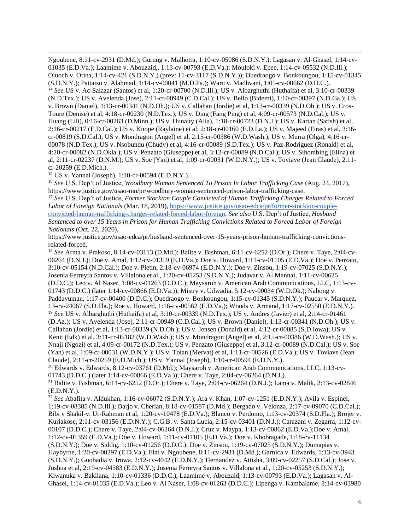Ngoubene, 8:11-cv-2931 (D.Md.); Gurung v. Malhotra, 1:10-cv-05086 (S.D.N.Y.); Lagasan v. Al-Ghasel, 1:14-cv-01035 (E.D.Va.); Laamime v. Abouzaid,, 1:13-cv-00793 (E.D.Va.); Mouloki v. Epee, 1:14-cv-05532 (N.D.Ill.); Oluoch v. Orina, 1:14-cv-421 (S.D.N.Y.) (prev: 11-cv-3117 (S.D.N.Y.)); Ouedraogo v. Bonkoungou, 1:15-cv-01345 (S.D.N.Y.); Pattaiso v. Alahmad, 1:14-cv-00041 (M.D.Pa.); Waru v. Madhvani, 1:05-cv-00662 (D.D.C.). <sup>14</sup> *See* US v. Ac-Salazar (Santos) et al, 1:20-cr-00700 (N.D.Ill.); US v. Albarghuthi (Huthaifa) et al, 3:10-cr-00339 (N.D.Tex.); US v. Avelenda (Jose), 2:11-cr-00949 (C.D.Cal.); US v. Bello (Bidemi), 1:10-cr-00397 (N.D.Ga.); US v. Brown (Daniel), 1:13-cr-00341 (N.D.Oh.); US v. Callahan (Jordie) et al, 1:13-cr-00339 (N.D.Oh.); US v. Cros-Toure (Denise) et al, 4:18-cr-00230 (N.D.Tex.); US v. Ding (Fang Ping) et al, 4:09-cr-00573 (N.D.Cal.); US v. Huang (Lili), 0:16-cr-00263 (D.Minn.); US v. Hunaity (Alia), 1:18-cr-00723 (D.N.J.); US v. Kartan (Satish) et al, 2:16-cr-00217 (E.D.Cal.); US v. Knope (Raylaine) et al, 2:18-cr-00160 (E.D.La.); US v. Majeed (Firas) et al, 3:16 cr-00819 (S.D.Cal.); US v. Mondragon (Angel) et al, 2:15-cr-00386 (W.D.Wash.); US v. Murra (Olga), 4:16-cr-00078 (N.D.Tex.); US v. Nsobundu (Chudy) et al, 4:16-cr-00089 (S.D.Tex.); US v. Paz-Rodriguez (Ronald) et al, 4:20-cr-00082 (N.D.Okla.); US v. Penzato (Giuseppe) et al, 3:12-cr-00089 (N.D.Cal.); US v. Sihombing (Elina) et al, 2:11-cr-02237 (D.N.M.); US v. Soe (Yan) et al, 1:09-cr-00031 (W.D.N.Y.); US v. Toviave (Jean Claude), 2:11 cr-20259 (E.D.Mich.).

<sup>15</sup> US v. Yannai (Joseph), 1:10-cr-00594 (E.D.N.Y.).

<sup>16</sup> *See* U.S. Dep't of Justice, *Woodbury Woman Sentenced To Prison In Labor Trafficking Case* (Aug. 24, 2017), https://www.justice.gov/usao-mn/pr/woodbury-woman-sentenced-prison-labor-trafficking-case.

<sup>17</sup> *See* U.S. Dep't of Justice, *Former Stockton Couple Convicted of Human Trafficking Charges Related to Forced Labor of Foreign Nationals* (Mar. 18, 2019)[, https://www.justice.gov/usao-edca/pr/former-stockton-couple](https://www.justice.gov/usao-edca/pr/former-stockton-couple-convicted-human-trafficking-charges-related-forced-labor-foreign)[convicted-human-trafficking-charges-related-forced-labor-foreign.](https://www.justice.gov/usao-edca/pr/former-stockton-couple-convicted-human-trafficking-charges-related-forced-labor-foreign) *See also* U.S. Dep't of Justice, *Husband Sentenced to over 15 Years in Prison for Human Trafficking Convictions Related to Forced Labor of Foreign Nationals* (Oct. 22, 2020),

https://www.justice.gov/usao-edca/pr/husband-sentenced-over-15-years-prison-human-trafficking-convictionsrelated-forced.

<sup>18</sup> *See* Arma v. Prakoso, 8:14-cv-03113 (D.Md.); Balite v. Bishman, 6:11-cv-6252 (D.Or.); Chere v. Taye, 2:04-cv-06264 (D.N.J.); Doe v. Amal, 1:12-cv-01359 (E.D.Va.); Doe v. Howard, 1:11-cv-01105 (E.D.Va.); Doe v. Penzato, 3:10-cv-05154 (N.D.Cal.); Doe v. Pletin, 2:18-cv-06974 (E.D.N.Y.); Doe v. Zinsou, 1:19-cv-07025 (S.D.N.Y.); Josenia Ferreyra Santos v. Villalona et al., 1:20-cv-05253 (S.D.N.Y.); Judavar v. Al Mannai, 1:11-cv-00625 (D.D.C.); Leo v. Al Naser, 1:08-cv-01263 (D.D.C.); Maysaroh v. American Arab Communications, LLC, 1:13-cv-01743 (D.D.C.) (later 1:14-cv-00866 (E.D.Va.)); Mistry v. Udwadia, 5:12-cv-00034 (W.D.Ok.); Nabong v. Paddayuman, 1:17-cv-00400 (D.D.C.); Ouedraogo v. Bonkoungou, 1:15-cv-01345 (S.D.N.Y.); Paucar v. Marquez, 13-cv-24067 (S.D.Fla.); Roe v. Howard, 1:16-cv-00562 (E.D.Va.); Woods v. Armand, 1:17-cv-02550 (E.D.N.Y.). <sup>19</sup> *See* US v. Albarghuthi (Huthaifa) et al, 3:10-cr-00339 (N.D.Tex.); US v. Andres (Javier) et al, 2:14-cr-01461 (D.Az.); US v. Avelenda (Jose), 2:11-cr-00949 (C.D.Cal.); US v. Brown (Daniel), 1:13-cr-00341 (N.D.Oh.); US v. Callahan (Jordie) et al, 1:13-cr-00339 (N.D.Oh.); US v. Jensen (Donald) et al, 4:12-cr-00085 (S.D.Iowa); US v. Kenit (Edk) et al, 3:11-cr-05182 (W.D.Wash.); US v. Mondragon (Angel) et al, 2:15-cr-00386 (W.D.Wash.); US v. Nnaji (Ngozi) et al, 4:09-cr-00172 (N.D.Tex.); US v. Penzato (Giuseppe) et al, 3:12-cr-00089 (N.D.Cal.); US v. Soe (Yan) et al, 1:09-cr-00031 (W.D.N.Y.); US v. Tolan (Mervat) et al, 1:11-cr-00526 (E.D.Va.); US v. Toviave (Jean Claude), 2:11-cr-20259 (E.D.Mich.); US v. Yannai (Joseph), 1:10-cr-00594 (E.D.N.Y.).

<sup>20</sup> Edwards v. Edwards, 8:12-cv-03761 (D.Md.); Maysaroh v. American Arab Communications, LLC, 1:13-cv-01743 (D.D.C.) (later 1:14-cv-00866 (E.D.Va.)); Chere v. Taye, 2:04-cv-06264 (D.N.J.).

<sup>21</sup> Balite v. Bishman, 6:11-cv-6252 (D.Or.); Chere v. Taye, 2:04-cv-06264 (D.N.J.); Lama v. Malik, 2:13-cv-02846 (E.D.N.Y.).

<sup>22</sup> *See* Abafita v. Aldukhan, 1:16-cv-06072 (S.D.N.Y.); Ara v. Khan, 1:07-cv-1251 (E.D.N.Y.); Avila v. Espinel, 1:19-cv-08385 (N.D.Ill.); Barjo v. Cherian, 8:18-cv-01587 (D.Md.); Bergado v. Velonza, 2:17-cv-09070 (C.D.Cal.); Bibi v Shakil-v. Ur-Rahman et al, 1:20-cv-10478 (E.D.Va.); Blanco v. Perdomo, 1:13-cv-20374 (S.D.Fla.); Brojer v. Kuriakose, 2:11-cv-03156 (E.D.N.Y.); C.G.B. v. Santa Lucia, 2:15-cv-03401 (D.N.J.); Carazani v. Zegarra, 1:12-cv-00107 (D.D.C.); Chere v. Taye, 2:04-cv-06264 (D.N.J.); Cruz v. Maypa, 1:13-cv-00862 (E.D.Va.);Doe v. Amal, 1:12-cv-01359 (E.D.Va.); Doe v. Howard, 1:11-cv-01105 (E.D.Va.); Doe v. Khobragade, 1:18-cv-11134 (S.D.N.Y.); Doe v. Siddig, 1:10-cv-01256 (D.D.C.); Doe v. Zinsou, 1:19-cv-07025 (S.D.N.Y.); Dumapias v. Haybyrne, 1:20-cv-00297 (E.D.Va.); Elat v. Ngoubene, 8:11-cv-2931 (D.Md.); Garnica v. Edwards, 1:13-cv-3943 (S.D.N.Y.); Guobadia v. Irowa, 2:12-cv-4042 (E.D.N.Y.); Hernandez v. Attisha, 3:09-cv-02257 (S.D.Cal.); Jose v. Joshua et al, 2:19-cv-04583 (E.D.N.Y.); Josenia Ferreyra Santos v. Villalona et al., 1:20-cv-05253 (S.D.N.Y.); Kiwanuka v. Bakilana, 1:10-cv-01336 (D.D.C.); Laamime v. Abouzaid, 1:13-cv-00793 (E.D.Va.); Lagasan v. Al-Ghasel, 1:14-cv-01035 (E.D.Va.); Leo v. Al Naser, 1:08-cv-01263 (D.D.C.); Lipenga v. Kambalame, 8:14-cv-03980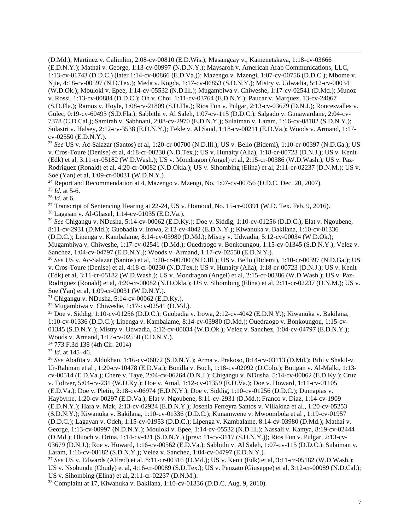(D.Md.); Martinez v. Calimlim, 2:08-cv-00810 (E.D.Wis.); Masangcay v.; Kamenetskaya, 1:18-cv-03666 (E.D.N.Y.); Mathai v. George, 1:13-cv-00997 (N.D.N.Y.); Maysaroh v. American Arab Communications, LLC, 1:13-cv-01743 (D.D.C.) (later 1:14-cv-00866 (E.D.Va.)); Mazengo v. Mzengi, 1:07-cv-00756 (D.D.C.); Mbome v. Njie, 4:18-cv-00597 (N.D.Tex.); Meda v. Kogda, 1:17-cv-06853 (S.D.N.Y.); Mistry v. Udwadia, 5:12-cv-00034 (W.D.Ok.); Mouloki v. Epee, 1:14-cv-05532 (N.D.Ill.); Mugambiwa v. Chiweshe, 1:17-cv-02541 (D.Md.); Munoz v. Rossi, 1:13-cv-00884 (D.D.C.); Oh v. Choi, 1:11-cv-03764 (E.D.N.Y.); Paucar v. Marquez, 13-cv-24067 (S.D.Fla.); Ramos v. Hoyle, 1:08-cv-21809 (S.D.Fla.); Rios Fun v. Pulgar, 2:13-cv-03679 (D.N.J.); Roncesvalles v. Gulec, 0:19-cv-60495 (S.D.Fla.); Sabbithi v. Al Saleh, 1:07-cv-115 (D.D.C.); Salgado v. Gunawardane, 2:04-cv-7378 (C.D.Cal.); Samirah v. Sabhnani, 2:08-cv-2970 (E.D.N.Y.); Sulaiman v. Laram, 1:16-cv-08182 (S.D.N.Y.); Sulastri v. Halsey, 2:12-cv-3538 (E.D.N.Y.); Tekle v. Al Saud, 1:18-cv-00211 (E.D.Va.); Woods v. Armand, 1:17 cv-02550 (E.D.N.Y.).

<sup>23</sup> *See* US v. Ac-Salazar (Santos) et al, 1:20-cr-00700 (N.D.Ill.); US v. Bello (Bidemi), 1:10-cr-00397 (N.D.Ga.); US v. Cros-Toure (Denise) et al, 4:18-cr-00230 (N.D.Tex.); US v. Hunaity (Alia), 1:18-cr-00723 (D.N.J.); US v. Kenit (Edk) et al, 3:11-cr-05182 (W.D.Wash.); US v. Mondragon (Angel) et al, 2:15-cr-00386 (W.D.Wash.); US v. Paz-Rodriguez (Ronald) et al, 4:20-cr-00082 (N.D.Okla.); US v. Sihombing (Elina) et al, 2:11-cr-02237 (D.N.M.); US v. Soe (Yan) et al, 1:09-cr-00031 (W.D.N.Y.).

 $24$  Report and Recommendation at 4, Mazengo v. Mzengi, No. 1:07-cv-00756 (D.D.C. Dec. 20, 2007).

<sup>25</sup> *Id.* at 5-6.

<sup>26</sup> *Id.* at 6.

<sup>27</sup> Transcript of Sentencing Hearing at 22-24, US v. Homoud, No. 15-cr-00391 (W.D. Tex. Feb. 9, 2016).

<sup>28</sup> Lagasan v. Al-Ghasel, 1:14-cv-01035 (E.D.Va.).

<sup>29</sup> *See* Chigangu v. NDusha, 5:14-cv-00062 (E.D.Ky.); Doe v. Siddig, 1:10-cv-01256 (D.D.C.); Elat v. Ngoubene, 8:11-cv-2931 (D.Md.); Guobadia v. Irowa, 2:12-cv-4042 (E.D.N.Y.); Kiwanuka v. Bakilana, 1:10-cv-01336 (D.D.C.); Lipenga v. Kambalame, 8:14-cv-03980 (D.Md.); Mistry v. Udwadia, 5:12-cv-00034 (W.D.Ok.); Mugambiwa v. Chiweshe, 1:17-cv-02541 (D.Md.); Ouedraogo v. Bonkoungou, 1:15-cv-01345 (S.D.N.Y.); Velez v. Sanchez, 1:04-cv-04797 (E.D.N.Y.); Woods v. Armand, 1:17-cv-02550 (E.D.N.Y.).

<sup>30</sup> *See* US v. Ac-Salazar (Santos) et al, 1:20-cr-00700 (N.D.Ill.); US v. Bello (Bidemi), 1:10-cr-00397 (N.D.Ga.); US v. Cros-Toure (Denise) et al, 4:18-cr-00230 (N.D.Tex.); US v. Hunaity (Alia), 1:18-cr-00723 (D.N.J.); US v. Kenit (Edk) et al, 3:11-cr-05182 (W.D.Wash.); US v. Mondragon (Angel) et al, 2:15-cr-00386 (W.D.Wash.); US v. Paz-Rodriguez (Ronald) et al, 4:20-cr-00082 (N.D.Okla.); US v. Sihombing (Elina) et al, 2:11-cr-02237 (D.N.M.); US v. Soe (Yan) et al, 1:09-cr-00031 (W.D.N.Y.).

<sup>31</sup> Chigangu v. NDusha, 5:14-cv-00062 (E.D.Ky.).

<sup>32</sup> Mugambiwa v. Chiweshe, 1:17-cv-02541 (D.Md.).

<sup>33</sup> Doe v. Siddig, 1:10-cv-01256 (D.D.C.); Guobadia v. Irowa, 2:12-cv-4042 (E.D.N.Y.); Kiwanuka v. Bakilana, 1:10-cv-01336 (D.D.C.); Lipenga v. Kambalame, 8:14-cv-03980 (D.Md.); Ouedraogo v. Bonkoungou, 1:15-cv-01345 (S.D.N.Y.); Mistry v. Udwadia, 5:12-cv-00034 (W.D.Ok.); Velez v. Sanchez, 1:04-cv-04797 (E.D.N.Y.); Woods v. Armand, 1:17-cv-02550 (E.D.N.Y.).

<sup>34</sup> 773 F.3d 138 (4th Cir. 2014)

<sup>35</sup> *Id.* at 145–46.

<sup>36</sup> *See* Abafita v. Aldukhan, 1:16-cv-06072 (S.D.N.Y.); Arma v. Prakoso, 8:14-cv-03113 (D.Md.); Bibi v Shakil-v. Ur-Rahman et al , 1:20-cv-10478 (E.D.Va.); Bonilla v. Buch, 1:18-cv-02092 (D.Colo.); Butigan v. Al-Malki, 1:13 cv-00514 (E.D.Va.); Chere v. Taye, 2:04-cv-06264 (D.N.J.); Chigangu v. NDusha, 5:14-cv-00062 (E.D.Ky.); Cruz v. Toliver, 5:04-cv-231 (W.D.Ky.); Doe v. Amal, 1:12-cv-01359 (E.D.Va.); Doe v. Howard, 1:11-cv-01105 (E.D.Va.); Doe v. Pletin, 2:18-cv-06974 (E.D.N.Y.); Doe v. Siddig, 1:10-cv-01256 (D.D.C.); Dumapias v. Haybyrne, 1:20-cv-00297 (E.D.Va.); Elat v. Ngoubene, 8:11-cv-2931 (D.Md.); Franco v. Diaz, 1:14-cv-1909 (E.D.N.Y.); Hara v. Mak, 2:13-cv-02924 (E.D.N.Y.); Josenia Ferreyra Santos v. Villalona et al., 1:20-cv-05253 (S.D.N.Y.); Kiwanuka v. Bakilana, 1:10-cv-01336 (D.D.C.); Kunamwene v. Mwoombola et al , 1:19-cv-01957 (D.D.C.); Lagayan v. Odeh, 1:15-cv-01953 (D.D.C.); Lipenga v. Kambalame, 8:14-cv-03980 (D.Md.); Mathai v. George, 1:13-cv-00997 (N.D.N.Y.); Mouloki v. Epee, 1:14-cv-05532 (N.D.Ill.); Nassali v. Kamya, 8:19-cv-02444 (D.Md.); Oluoch v. Orina, 1:14-cv-421 (S.D.N.Y.) (prev: 11-cv-3117 (S.D.N.Y.)); Rios Fun v. Pulgar, 2:13-cv-03679 (D.N.J.); Roe v. Howard, 1:16-cv-00562 (E.D.Va.); Sabbithi v. Al Saleh, 1:07-cv-115 (D.D.C.); Sulaiman v. Laram, 1:16-cv-08182 (S.D.N.Y.); Velez v. Sanchez, 1:04-cv-04797 (E.D.N.Y.).

<sup>37</sup> *See* US v. Edwards (Alfred) et al, 8:11-cr-00316 (D.Md.); US v. Kenit (Edk) et al, 3:11-cr-05182 (W.D.Wash.); US v. Nsobundu (Chudy) et al, 4:16-cr-00089 (S.D.Tex.); US v. Penzato (Giuseppe) et al, 3:12-cr-00089 (N.D.Cal.); US v. Sihombing (Elina) et al, 2:11-cr-02237 (D.N.M.).

<sup>38</sup> Complaint at 17, Kiwanuka v. Bakilana, 1:10-cv-01336 (D.D.C. Aug. 9, 2010).